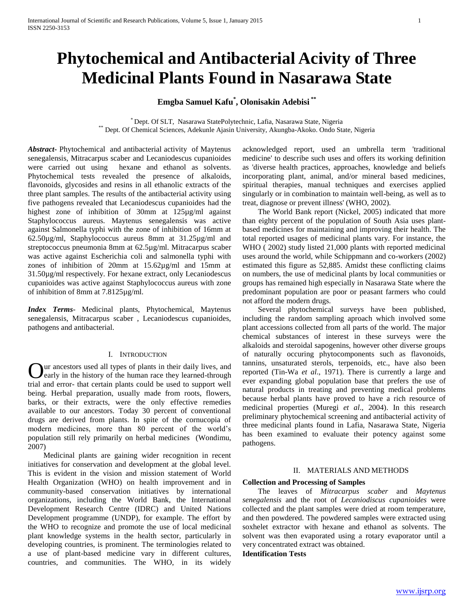# **Phytochemical and Antibacterial Acivity of Three Medicinal Plants Found in Nasarawa State**

## **Emgba Samuel Kafu\* , Olonisakin Adebisi \*\***

\* Dept. Of SLT, Nasarawa StatePolytechnic, Lafia, Nasarawa State, Nigeria \*\* Dept. Of Chemical Sciences, Adekunle Ajasin University, Akungba-Akoko. Ondo State, Nigeria

*Abstract***-** Phytochemical and antibacterial activity of Maytenus senegalensis, Mitracarpus scaber and Lecaniodescus cupanioides were carried out using hexane and ethanol as solvents. Phytochemical tests revealed the presence of alkaloids, flavonoids, glycosides and resins in all ethanolic extracts of the three plant samples. The results of the antibacterial activity using five pathogens revealed that Lecaniodescus cupanioides had the highest zone of inhibition of 30mm at 125µg/ml against Staphylococcus aureus. Maytenus senegalensis was active against Salmonella typhi with the zone of inhibition of 16mm at 62.50µg/ml, Staphylococcus aureus 8mm at 31.25µg/ml and streptococcus pneumonia 8mm at 62.5µg/ml. Mitracarpus scaber was active against Escherichia coli and salmonella typhi with zones of inhibition of 20mm at 15.62µg/ml and 15mm at 31.50µg/ml respectively. For hexane extract, only Lecaniodescus cupanioides was active against Staphylococcus aureus with zone of inhibition of 8mm at 7.8125µg/ml.

*Index Terms*- Medicinal plants, Phytochemical, Maytenus senegalensis, Mitracarpus scaber , Lecaniodescus cupanioides, pathogens and antibacterial.

#### I. INTRODUCTION

ur ancestors used all types of plants in their daily lives, and Qur ancestors used all types of plants in their daily lives, and<br>early in the history of the human race they learned-through trial and error- that certain plants could be used to support well being. Herbal preparation, usually made from roots, flowers, barks, or their extracts, were the only effective remedies available to our ancestors. Today 30 percent of conventional drugs are derived from plants. In spite of the cornucopia of modern medicines, more than 80 percent of the world's population still rely primarily on herbal medicines (Wondimu, 2007)

 Medicinal plants are gaining wider recognition in recent initiatives for conservation and development at the global level. This is evident in the vision and mission statement of World Health Organization (WHO) on health improvement and in community-based conservation initiatives by international organizations, including the World Bank, the International Development Research Centre (IDRC) and United Nations Development programme (UNDP), for example. The effort by the WHO to recognize and promote the use of local medicinal plant knowledge systems in the health sector, particularly in developing countries, is prominent. The terminologies related to a use of plant-based medicine vary in different cultures, countries, and communities. The WHO, in its widely

acknowledged report, used an umbrella term 'traditional medicine' to describe such uses and offers its working definition as 'diverse health practices, approaches, knowledge and beliefs incorporating plant, animal, and/or mineral based medicines, spiritual therapies, manual techniques and exercises applied singularly or in combination to maintain well-being, as well as to treat, diagnose or prevent illness' (WHO, 2002).

 The World Bank report (Nickel, 2005) indicated that more than eighty percent of the population of South Asia uses plantbased medicines for maintaining and improving their health. The total reported usages of medicinal plants vary. For instance, the WHO ( 2002) study listed 21,000 plants with reported medicinal uses around the world, while Schippmann and co-workers (2002) estimated this figure as 52,885. Amidst these conflicting claims on numbers, the use of medicinal plants by local communities or groups has remained high especially in Nasarawa State where the predominant population are poor or peasant farmers who could not afford the modern drugs.

 Several phytochemical surveys have been published, including the random sampling aproach which involved some plant accessions collected from all parts of the world. The major chemical substances of interest in these surveys were the alkaloids and steroidal sapogenins, however other diverse groups of naturally occuring phytocomponents such as flavonoids, tannins, unsaturated sterols, terpenoids, etc., have also been reported (Tin-Wa *et al*., 1971). There is currently a large and ever expanding global population base that prefers the use of natural products in treating and preventing medical problems because herbal plants have proved to have a rich resource of medicinal properties (Muregi *et al*., 2004). In this research preliminary phytochemical screening and antibacterial activity of three medicinal plants found in Lafia, Nasarawa State, Nigeria has been examined to evaluate their potency against some pathogens.

#### II. MATERIALS AND METHODS

### **Collection and Processing of Samples**

 The leaves of *Mitracarpus scaber* and *Maytenus senegalensis* and the root of *Lecaniodiscus cupanioides* were collected and the plant samples were dried at room temperature, and then powdered. The powdered samples were extracted using soxhelet extractor with hexane and ethanol as solvents. The solvent was then evaporated using a rotary evaporator until a very concentrated extract was obtained.

**Identification Tests**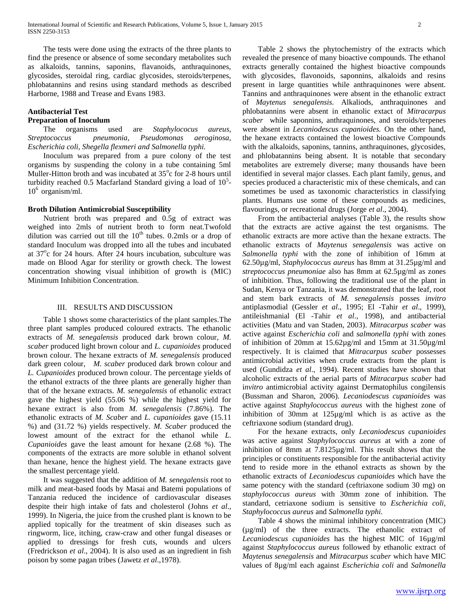The tests were done using the extracts of the three plants to find the presence or absence of some secondary metabolites such as alkaloids, tannins, saponins, flavanoids, anthraquinones, glycosides, steroidal ring, cardiac glycosides, steroids/terpenes, phlobatannins and resins using standard methods as described Harborne, 1988 and Trease and Evans 1983.

#### **Antibacterial Test**

### **Preparation of Inoculum**

 The organisms used are *Staphylococus aureus*, *Streptococcus pneumonia, Pseudomonas aeroginosa, Escherichia coli, Shegella flexmeri and Salmonella typhi.*

 Inoculum was prepared from a pure colony of the test organisms by suspending the colony in a tube containing 5ml Muller-Hitton broth and was incubated at 35°c for 2-8 hours until turbidity reached 0.5 Macfarland Standard giving a load of  $10<sup>5</sup>$ - $10^6$  organism/ml.

#### **Broth Dilution Antimicrobial Susceptibility**

 Nutrient broth was prepared and 0.5g of extract was weighed into 2mls of nutrient broth to form neat.Twofold dilution was carried out till the  $10<sup>th</sup>$  tubes. 0.2mls or a drop of standard Inoculum was dropped into all the tubes and incubated at 37<sup>o</sup>c for 24 hours. After 24 hours incubation, subculture was made on Blood Agar for sterility or growth check. The lowest concentration showing visual inhibition of growth is (MIC) Minimum Inhibition Concentration.

#### III. RESULTS AND DISCUSSION

 Table 1 shows some characteristics of the plant samples.The three plant samples produced coloured extracts. The ethanolic extracts of *M. senegalensis* produced dark brown colour, *M. scaber* produced light brown colour and *L. cupanioides* produced brown colour. The hexane extracts of *M. senegalensis* produced dark green colour, *M. scaber* produced dark brown colour and *L. Cupanioides* produced brown colour. The percentage yields of the ethanol extracts of the three plants are generally higher than that of the hexane extracts. *M. senegalensis* of ethanolic extract gave the highest yield (55.06 %) while the highest yield for hexane extract is also from *M. senegalensis* (7.86%). The ethanolic extracts of *M. Scaber* and *L. cupanioides* gave (15.11 %) and (31.72 %) yields respectively. *M. Scaber* produced the lowest amount of the extract for the ethanol while *L*. *Cupanioides* gave the least amount for hexane (2.68 %). The components of the extracts are more soluble in ethanol solvent than hexane, hence the highest yield. The hexane extracts gave the smallest percentage yield.

 It was suggested that the addition of *M. senegalensis* root to milk and meat-based foods by Masai and Batemi populations of Tanzania reduced the incidence of cardiovascular diseases despite their high intake of fats and cholesterol (Johns *et al*., 1999). In Nigeria, the juice from the crushed plant is known to be applied topically for the treatment of skin diseases such as ringworm, lice, itching, craw-craw and other fungal diseases or applied to dressings for fresh cuts, wounds and ulcers (Fredrickson *et al*., 2004). It is also used as an ingredient in fish poison by some pagan tribes (Jawetz *et al*.,1978).

 Table 2 shows the phytochemistry of the extracts which revealed the presence of many bioactive compounds. The ethanol extracts generally contained the highest bioactive compounds with glycosides, flavonoids, saponnins, alkaloids and resins present in large quantities while anthraquinones were absent. Tannins and anthraquinones were absent in the ethanolic extract of *Maytenus senegalensis.* Alkaliods, anthraquinones and phlobatannins were absent in ethanolic extact of *Mitracarpus scaber* while saponnins, anthraquinones, and steroids/terpenes were absent in *Lecaniodescus cupanioides.* On the other hand, the hexane extracts contained the lowest bioactive Compounds with the alkaloids, saponins, tannins, anthraquinones, glycosides, and phlobatannins being absent*.* It is notable that secondary metabolites are extremely diverse; many thousands have been identified in several major classes. Each plant family, genus, and species produced a characteristic mix of these chemicals, and can sometimes be used as taxonomic characteristics in classifying plants. Humans use some of these compounds as medicines, flavourings, or recreational drugs (Jorge *et al*., 2004).

 From the antibacterial analyses (Table 3), the results show that the extracts are active against the test organisms. The ethanolic extracts are more active than the hexane extracts. The ethanolic extracts of *Maytenus senegalensis* was active on *Salmonella typhi* with the zone of inhibition of 16mm at 62.50µg/ml, *Staphylococcus aureus* has 8mm at 31.25µg/ml and *streptococcus pneumoniae* also has 8mm at 62.5µg/ml as zones of inhibition. Thus, following the traditional use of the plant in Sudan, Kenya or Tanzania, it was demonstrated that the leaf, root and stem bark extracts of *M. senegalensis* posses *invitro* antiplasmodial (Gessler *et al*., 1995; El -Tahir *et al*., 1999), antileishmanial (El -Tahir *et al*., 1998), and antibacterial activities (Matu and van Staden, 2003). *Mitracarpus scaber* was active against *Escherichia coli* and *salmonella typhi* with zones of inhibition of 20mm at 15.62µg/ml and 15mm at 31.50µg/ml respectively. It is claimed that *Mitracarpus scaber* possesses antimicrobial activities when crude extracts from the plant is used (Gundidza *et al*., 1994). Recent studies have shown that alcoholic extracts of the aerial parts of *Mitracarpus scaber* had i*nvitro* antimicrobial activity against Dermatophilus congilensis (Bussman and Sharon, 2006). *Lecaniodescus cupanioide*s was active against *Staphylococcus aureus* with the highest zone of inhibition of 30mm at 125µg/ml which is as active as the ceftriaxone sodium (standard drug).

 For the hexane extracts, only *Lecaniodescus cupanioides* was active against *Staphylococcus aureus* at with a zone of inhibition of 8mm at 7.8125µg/ml. This result shows that the principles or constituents responsible for the antibacterial activity tend to reside more in the ethanol extracts as shown by the ethanolic extracts of *Lecaniodescus cupanioides* which have the same potency with the standard (ceftriaxone sodium 30 mg) on *staphylococcus aureus* with 30mm zone of inhibition. The standard, cetriaxone sodium is sensitive to *Escherichia coli, Staphylococcus aureus* and *Salmonella typhi.* 

 Table 4 shows the minimal inhibitory concentration (MIC) (µg/ml) of the three extracts. The ethanolic extract of *Lecaniodescus cupanioides* has the highest MIC of 16µg/ml against *Staphylococcus aureus* followed by ethanolic extract of *Maytenus senegalensis* and *Mitracarpus scaber* which have MIC values of 8µg/ml each against *Escherichia coli* and *Salmonella*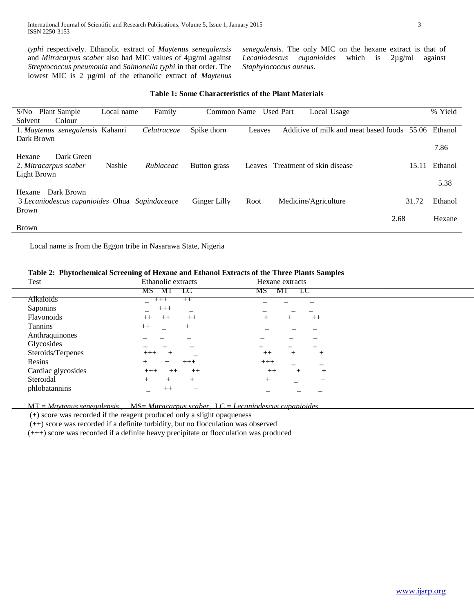*typhi* respectively. Ethanolic extract of *Maytenus senegalensis* and *Mitracarpus scaber* also had MIC values of 4µg/ml against *Streptococcus pneumonia* and *Salmonella typhi* in that order. The lowest MIC is 2 µg/ml of the ethanolic extract of *Maytenus*  *senegalensis.* The only MIC on the hexane extract is that of *Lecaniodescus cupanioides* which is 2µg/ml against *Staphylococcus aureus.*

| Table 1: Some Characteristics of the Plant Materials |  |
|------------------------------------------------------|--|
|------------------------------------------------------|--|

| Plant Sample<br>S/No                          | Local name | Family      | Common Name  |        | <b>Used Part</b> | Local Usage                           |       | % Yield |
|-----------------------------------------------|------------|-------------|--------------|--------|------------------|---------------------------------------|-------|---------|
| Solvent<br>Colour                             |            |             |              |        |                  |                                       |       |         |
| 1. Maytenus senegalensis Kahanri              |            | Celatraceae | Spike thorn  | Leaves |                  | Additive of milk and meat based foods | 55.06 | Ethanol |
| Dark Brown                                    |            |             |              |        |                  |                                       |       |         |
|                                               |            |             |              |        |                  |                                       |       | 7.86    |
| Dark Green<br>Hexane                          |            |             |              |        |                  |                                       |       |         |
| 2. Mitracarpus scaber                         | Nashie     | Rubiaceac   | Button grass |        |                  | Leaves Treatment of skin disease      | 15.11 | Ethanol |
| Light Brown                                   |            |             |              |        |                  |                                       |       |         |
|                                               |            |             |              |        |                  |                                       |       | 5.38    |
| Dark Brown<br>Hexane                          |            |             |              |        |                  |                                       |       |         |
| 3 Lecaniodescus cupanioides Ohua Sapindaceace |            |             | Ginger Lilly | Root   |                  | Medicine/Agriculture                  | 31.72 | Ethanol |
| <b>Brown</b>                                  |            |             |              |        |                  |                                       |       |         |
|                                               |            |             |              |        |                  |                                       | 2.68  | Hexane  |
| <b>Brown</b>                                  |            |             |              |        |                  |                                       |       |         |

Local name is from the Eggon tribe in Nasarawa State, Nigeria

## **Table 2: Phytochemical Screening of Hexane and Ethanol Extracts of the Three Plants Samples**

| Test               | Ethanolic extracts                         | Hexane extracts          |  |
|--------------------|--------------------------------------------|--------------------------|--|
|                    | MS MT LC                                   | MT LC<br>MS.             |  |
| Alkaloids          | $+++$<br>$++$                              |                          |  |
| Saponins           | $+++$                                      |                          |  |
| Flavonoids         | $++$<br>$++$<br>$++$                       | $++$                     |  |
| Tannins            | $++$<br>$^{+}$<br>$\overline{\phantom{0}}$ |                          |  |
| Anthraquinones     |                                            |                          |  |
| Glycosides         |                                            |                          |  |
| Steroids/Terpenes  | $+++$                                      | $++$<br>$^{+}$<br>+      |  |
| Resins             | $+++$                                      | $+++$                    |  |
| Cardiac glycosides | $+++$<br>$++$<br>$^{++}$                   | $++$<br>$^{+}$<br>$^{+}$ |  |
| Steroidal          | $^{+}$<br>$^{+}$                           | $^{+}$<br>$^+$           |  |
| phlobatannins      | $++$<br>$^{+}$                             |                          |  |

MT **=** *Maytenus senegalensis* , MS**=** *Mitracarpus scaber,* LC **=** *Lecaniodescus cupanioides*

(+) score was recorded if the reagent produced only a slight opaqueness

(++) score was recorded if a definite turbidity, but no flocculation was observed

(+++) score was recorded if a definite heavy precipitate or flocculation was produced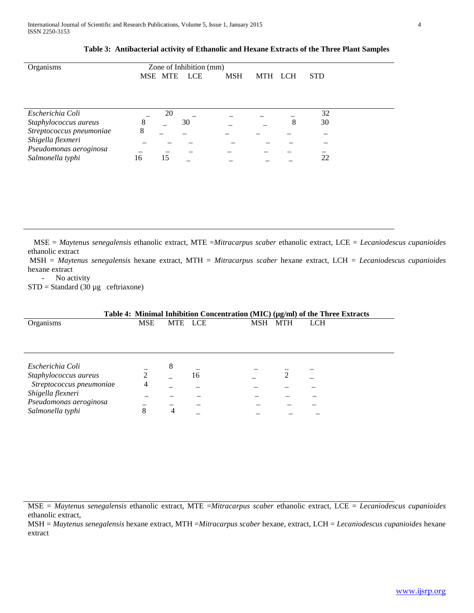| Organisms                | Zone of Inhibition (mm) |         |     |            |         |  |            |
|--------------------------|-------------------------|---------|-----|------------|---------|--|------------|
|                          |                         | MSE MTE | LCE | <b>MSH</b> | MTH LCH |  | <b>STD</b> |
|                          |                         |         |     |            |         |  |            |
|                          |                         |         |     |            |         |  |            |
|                          |                         |         |     |            |         |  |            |
|                          |                         |         |     |            |         |  |            |
| Escherichia Coli         |                         | 20      |     |            |         |  | 32         |
| Staphylococcus aureus    | 8                       |         | 30  |            |         |  | 30         |
| Streptococcus pneumoniae | 8                       |         |     |            |         |  |            |
| Shigella flexmeri        |                         |         |     |            |         |  |            |
| Pseudomonas aeroginosa   |                         |         |     |            |         |  |            |
| Salmonella typhi         | 16                      | 15      |     |            |         |  | 22         |

**Table 3: Antibacterial activity of Ethanolic and Hexane Extracts of the Three Plant Samples**

 MSE = *Maytenus senegalensis* ethanolic extract, MTE =*Mitracarpus scaber* ethanolic extract, LCE = *Lecaniodescus cupanioides* ethanolic extract

MSH = *Maytenus senegalensis* hexane extract, MTH = *Mitracarpus scaber* hexane extract, LCH = *Lecaniodescus cupanioides* hexane extract

- No activity

 $STD = Standard (30 \mu g \text{ c}$ eftriaxone)

| Table 4: Minimal Inhibition Concentration (MIC) (µg/ml) of the Three Extracts |            |         |    |     |            |            |  |
|-------------------------------------------------------------------------------|------------|---------|----|-----|------------|------------|--|
| <b>Organisms</b>                                                              | <b>MSE</b> | MTE LCE |    | MSH | <b>MTH</b> | <b>LCH</b> |  |
|                                                                               |            |         |    |     |            |            |  |
|                                                                               |            |         |    |     |            |            |  |
|                                                                               |            |         |    |     |            |            |  |
|                                                                               |            |         |    |     |            |            |  |
| Escherichia Coli                                                              |            | 8       |    |     |            |            |  |
| Staphylococcus aureus                                                         | 2          |         | 16 |     |            |            |  |
| Streptococcus pneumoniae                                                      | 4          |         |    |     |            |            |  |
| Shigella flexneri                                                             |            |         |    |     |            |            |  |
| Pseudomonas aeroginosa                                                        |            |         |    |     |            |            |  |
| Salmonella typhi                                                              | 8          | 4       |    |     |            |            |  |
|                                                                               |            |         |    |     |            |            |  |

MSE = *Maytenus senegalensis* ethanolic extract, MTE =*Mitracarpus scaber* ethanolic extract, LCE = *Lecaniodescus cupanioides* ethanolic extract,

MSH = *Maytenus senegalensis* hexane extract, MTH =*Mitracarpus scaber* hexane, extract, LCH = *Lecaniodescus cupanioides* hexane extract